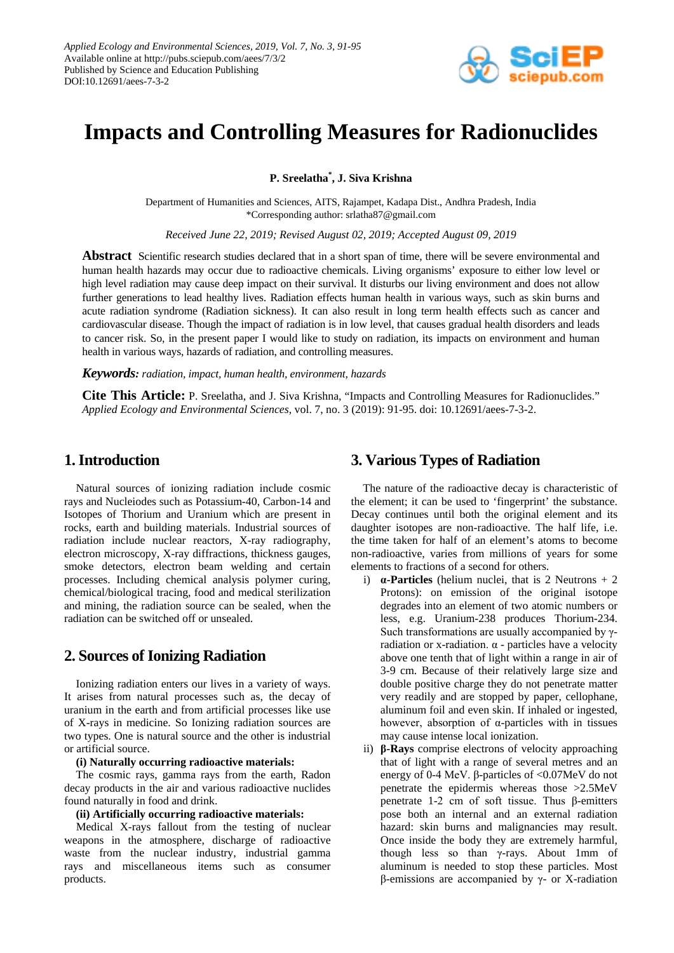

# **Impacts and Controlling Measures for Radionuclides**

**P. Sreelatha\* , J. Siva Krishna**

Department of Humanities and Sciences, AITS, Rajampet, Kadapa Dist., Andhra Pradesh, India \*Corresponding author: srlatha87@gmail.com

*Received June 22, 2019; Revised August 02, 2019; Accepted August 09, 2019*

**Abstract** Scientific research studies declared that in a short span of time, there will be severe environmental and human health hazards may occur due to radioactive chemicals. Living organisms' exposure to either low level or high level radiation may cause deep impact on their survival. It disturbs our living environment and does not allow further generations to lead healthy lives. Radiation effects human health in various ways, such as skin burns and acute radiation syndrome (Radiation sickness). It can also result in long term health effects such as cancer and cardiovascular disease. Though the impact of radiation is in low level, that causes gradual health disorders and leads to cancer risk. So, in the present paper I would like to study on radiation, its impacts on environment and human health in various ways, hazards of radiation, and controlling measures.

*Keywords: radiation, impact, human health, environment, hazards*

**Cite This Article:** P. Sreelatha, and J. Siva Krishna, "Impacts and Controlling Measures for Radionuclides." *Applied Ecology and Environmental Sciences*, vol. 7, no. 3 (2019): 91-95. doi: 10.12691/aees-7-3-2.

### **1. Introduction**

Natural sources of ionizing radiation include cosmic rays and Nucleiodes such as Potassium-40, Carbon-14 and Isotopes of Thorium and Uranium which are present in rocks, earth and building materials. Industrial sources of radiation include nuclear reactors, X-ray radiography, electron microscopy, X-ray diffractions, thickness gauges, smoke detectors, electron beam welding and certain processes. Including chemical analysis polymer curing, chemical/biological tracing, food and medical sterilization and mining, the radiation source can be sealed, when the radiation can be switched off or unsealed.

### **2. Sources of Ionizing Radiation**

Ionizing radiation enters our lives in a variety of ways. It arises from natural processes such as, the decay of uranium in the earth and from artificial processes like use of X-rays in medicine. So Ionizing radiation sources are two types. One is natural source and the other is industrial or artificial source.

#### **(i) Naturally occurring radioactive materials:**

The cosmic rays, gamma rays from the earth, Radon decay products in the air and various radioactive nuclides found naturally in food and drink.

#### **(ii) Artificially occurring radioactive materials:**

Medical X-rays fallout from the testing of nuclear weapons in the atmosphere, discharge of radioactive waste from the nuclear industry, industrial gamma rays and miscellaneous items such as consumer products.

### **3. Various Types of Radiation**

The nature of the radioactive decay is characteristic of the element; it can be used to 'fingerprint' the substance. Decay continues until both the original element and its daughter isotopes are non-radioactive. The half life, i.e. the time taken for half of an element's atoms to become non-radioactive, varies from millions of years for some elements to fractions of a second for others.

- i)  $\alpha$ -**Particles** (helium nuclei, that is 2 Neutrons  $+ 2$ Protons): on emission of the original isotope degrades into an element of two atomic numbers or less, e.g. Uranium-238 produces Thorium-234. Such transformations are usually accompanied by γradiation or x-radiation. α - particles have a velocity above one tenth that of light within a range in air of 3-9 cm. Because of their relatively large size and double positive charge they do not penetrate matter very readily and are stopped by paper, cellophane, aluminum foil and even skin. If inhaled or ingested, however, absorption of α-particles with in tissues may cause intense local ionization.
- ii) **β-Rays** comprise electrons of velocity approaching that of light with a range of several metres and an energy of 0-4 MeV. β-particles of <0.07MeV do not penetrate the epidermis whereas those >2.5MeV penetrate 1-2 cm of soft tissue. Thus β-emitters pose both an internal and an external radiation hazard: skin burns and malignancies may result. Once inside the body they are extremely harmful, though less so than γ-rays. About 1mm of aluminum is needed to stop these particles. Most β-emissions are accompanied by γ- or X-radiation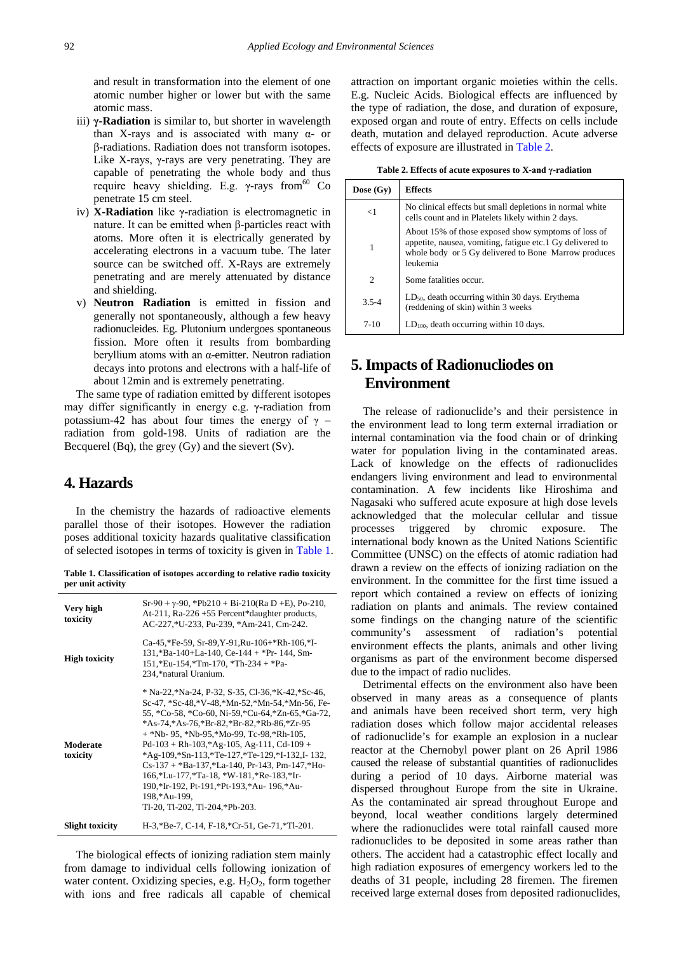and result in transformation into the element of one atomic number higher or lower but with the same atomic mass.

- iii) **γ-Radiation** is similar to, but shorter in wavelength than X-rays and is associated with many  $α$ - or β-radiations. Radiation does not transform isotopes. Like X-rays,  $\gamma$ -rays are very penetrating. They are capable of penetrating the whole body and thus require heavy shielding. E.g. γ-rays from  $60$  Co penetrate 15 cm steel.
- iv) **X-Radiation** like γ-radiation is electromagnetic in nature. It can be emitted when β-particles react with atoms. More often it is electrically generated by accelerating electrons in a vacuum tube. The later source can be switched off. X-Rays are extremely penetrating and are merely attenuated by distance and shielding.
- v) **Neutron Radiation** is emitted in fission and generally not spontaneously, although a few heavy radionucleides. Eg. Plutonium undergoes spontaneous fission. More often it results from bombarding beryllium atoms with an α-emitter. Neutron radiation decays into protons and electrons with a half-life of about 12min and is extremely penetrating.

The same type of radiation emitted by different isotopes may differ significantly in energy e.g. γ-radiation from potassium-42 has about four times the energy of  $\gamma$  – radiation from gold-198. Units of radiation are the Becquerel (Bq), the grey (Gy) and the sievert (Sv).

### **4. Hazards**

In the chemistry the hazards of radioactive elements parallel those of their isotopes. However the radiation poses additional toxicity hazards qualitative classification of selected isotopes in terms of toxicity is given in [Table 1.](#page-1-0)

**Table 1. Classification of isotopes according to relative radio toxicity per unit activity**

<span id="page-1-0"></span>

| Very high<br>toxicity  | $Sr-90 + \gamma - 90$ , *Pb210 + Bi-210(Ra D +E), Po-210,<br>At-211, Ra-226+55 Percent*daughter products,<br>AC-227,*U-233, Pu-239, *Am-241, Cm-242.                                                                                                                                                                                                                                                                                                                                                                                                          |  |
|------------------------|---------------------------------------------------------------------------------------------------------------------------------------------------------------------------------------------------------------------------------------------------------------------------------------------------------------------------------------------------------------------------------------------------------------------------------------------------------------------------------------------------------------------------------------------------------------|--|
| <b>High toxicity</b>   | Ca-45,*Fe-59, Sr-89, Y-91, Ru-106+*Rh-106,*I-<br>$131$ , *Ba-140+La-140, Ce-144 + *Pr-144, Sm-<br>$151$ ,*Eu-154,*Tm-170, *Th-234 + *Pa-<br>234,*natural Uranium.                                                                                                                                                                                                                                                                                                                                                                                             |  |
| Moderate<br>toxicity   | * Na-22, *Na-24, P-32, S-35, Cl-36, *K-42, *Sc-46,<br>Sc-47, *Sc-48, *V-48, *Mn-52, *Mn-54, *Mn-56, Fe-<br>55, *Co-58, *Co-60, Ni-59, *Cu-64, *Zn-65, *Ga-72,<br>*As-74, *As-76, *Br-82, *Br-82, *Rb-86, *Zr-95<br>+ *Nb- 95, *Nb-95, *Mo-99, Tc-98, *Rh-105,<br>$Pd-103 + Rh-103$ , $Ag-105$ , Ag-111, Cd-109 +<br>*Ag-109,*Sn-113,*Te-127,*Te-129,*I-132,I-132,<br>$Cs-137$ + *Ba-137,*La-140, Pr-143, Pm-147,*Ho-<br>166,*Lu-177,*Ta-18,*W-181,*Re-183,*Ir-<br>190,*Ir-192, Pt-191,*Pt-193,*Au- 196,*Au-<br>198,*Au-199,<br>Tl-20, Tl-202, Tl-204,*Pb-203. |  |
| <b>Slight toxicity</b> | H-3,*Be-7, C-14, F-18,*Cr-51, Ge-71,*Tl-201.                                                                                                                                                                                                                                                                                                                                                                                                                                                                                                                  |  |

The biological effects of ionizing radiation stem mainly from damage to individual cells following ionization of water content. Oxidizing species, e.g.  $H_2O_2$ , form together with ions and free radicals all capable of chemical attraction on important organic moieties within the cells. E.g. Nucleic Acids. Biological effects are influenced by the type of radiation, the dose, and duration of exposure, exposed organ and route of entry. Effects on cells include death, mutation and delayed reproduction. Acute adverse effects of exposure are illustrated in [Table 2.](#page-1-1)

**Table 2. Effects of acute exposures to X-and γ-radiation**

<span id="page-1-1"></span>

| Dose $(Gy)$ | <b>Effects</b>                                                                                                                                                                       |
|-------------|--------------------------------------------------------------------------------------------------------------------------------------------------------------------------------------|
| $<$ 1       | No clinical effects but small depletions in normal white<br>cells count and in Platelets likely within 2 days.                                                                       |
| 1           | About 15% of those exposed show symptoms of loss of<br>appetite, nausea, vomiting, fatigue etc.1 Gy delivered to<br>whole body or 5 Gy delivered to Bone Marrow produces<br>leukemia |
| 2           | Some fatalities occur.                                                                                                                                                               |
| $3.5 - 4$   | $LD_{50}$ , death occurring within 30 days. Erythema<br>(reddening of skin) within 3 weeks                                                                                           |
| $7-10$      | $LD100$ , death occurring within 10 days.                                                                                                                                            |

# **5. Impacts of Radionucliodes on Environment**

The release of radionuclide's and their persistence in the environment lead to long term external irradiation or internal contamination via the food chain or of drinking water for population living in the contaminated areas. Lack of knowledge on the effects of radionuclides endangers living environment and lead to environmental contamination. A few incidents like Hiroshima and Nagasaki who suffered acute exposure at high dose levels acknowledged that the molecular cellular and tissue processes triggered by chromic exposure. The international body known as the United Nations Scientific Committee (UNSC) on the effects of atomic radiation had drawn a review on the effects of ionizing radiation on the environment. In the committee for the first time issued a report which contained a review on effects of ionizing radiation on plants and animals. The review contained some findings on the changing nature of the scientific community's assessment of radiation's potential environment effects the plants, animals and other living organisms as part of the environment become dispersed due to the impact of radio nuclides.

Detrimental effects on the environment also have been observed in many areas as a consequence of plants and animals have been received short term, very high radiation doses which follow major accidental releases of radionuclide's for example an explosion in a nuclear reactor at the Chernobyl power plant on 26 April 1986 caused the release of substantial quantities of radionuclides during a period of 10 days. Airborne material was dispersed throughout Europe from the site in Ukraine. As the contaminated air spread throughout Europe and beyond, local weather conditions largely determined where the radionuclides were total rainfall caused more radionuclides to be deposited in some areas rather than others. The accident had a catastrophic effect locally and high radiation exposures of emergency workers led to the deaths of 31 people, including 28 firemen. The firemen received large external doses from deposited radionuclides,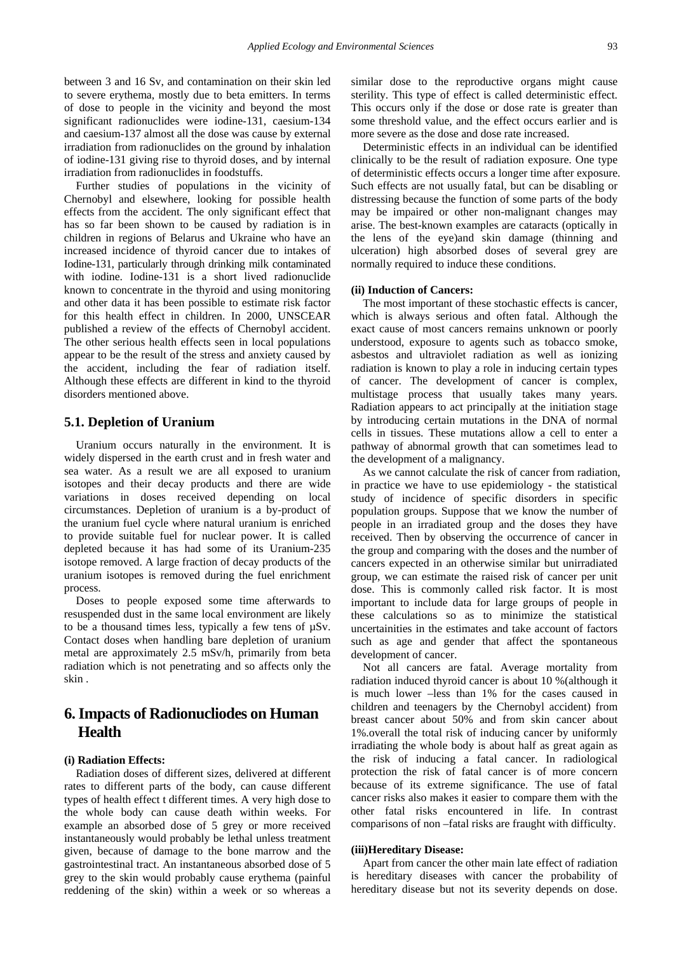between 3 and 16 Sv, and contamination on their skin led to severe erythema, mostly due to beta emitters. In terms of dose to people in the vicinity and beyond the most significant radionuclides were iodine-131, caesium-134 and caesium-137 almost all the dose was cause by external irradiation from radionuclides on the ground by inhalation of iodine-131 giving rise to thyroid doses, and by internal irradiation from radionuclides in foodstuffs.

Further studies of populations in the vicinity of Chernobyl and elsewhere, looking for possible health effects from the accident. The only significant effect that has so far been shown to be caused by radiation is in children in regions of Belarus and Ukraine who have an increased incidence of thyroid cancer due to intakes of Iodine-131, particularly through drinking milk contaminated with iodine. Iodine-131 is a short lived radionuclide known to concentrate in the thyroid and using monitoring and other data it has been possible to estimate risk factor for this health effect in children. In 2000, UNSCEAR published a review of the effects of Chernobyl accident. The other serious health effects seen in local populations appear to be the result of the stress and anxiety caused by the accident, including the fear of radiation itself. Although these effects are different in kind to the thyroid disorders mentioned above.

#### **5.1. Depletion of Uranium**

Uranium occurs naturally in the environment. It is widely dispersed in the earth crust and in fresh water and sea water. As a result we are all exposed to uranium isotopes and their decay products and there are wide variations in doses received depending on local circumstances. Depletion of uranium is a by-product of the uranium fuel cycle where natural uranium is enriched to provide suitable fuel for nuclear power. It is called depleted because it has had some of its Uranium-235 isotope removed. A large fraction of decay products of the uranium isotopes is removed during the fuel enrichment process.

Doses to people exposed some time afterwards to resuspended dust in the same local environment are likely to be a thousand times less, typically a few tens of µSv. Contact doses when handling bare depletion of uranium metal are approximately 2.5 mSv/h, primarily from beta radiation which is not penetrating and so affects only the skin .

### **6. Impacts of Radionucliodes on Human Health**

#### **(i) Radiation Effects:**

Radiation doses of different sizes, delivered at different rates to different parts of the body, can cause different types of health effect t different times. A very high dose to the whole body can cause death within weeks. For example an absorbed dose of 5 grey or more received instantaneously would probably be lethal unless treatment given, because of damage to the bone marrow and the gastrointestinal tract. An instantaneous absorbed dose of 5 grey to the skin would probably cause erythema (painful reddening of the skin) within a week or so whereas a

similar dose to the reproductive organs might cause sterility. This type of effect is called deterministic effect. This occurs only if the dose or dose rate is greater than some threshold value, and the effect occurs earlier and is more severe as the dose and dose rate increased.

Deterministic effects in an individual can be identified clinically to be the result of radiation exposure. One type of deterministic effects occurs a longer time after exposure. Such effects are not usually fatal, but can be disabling or distressing because the function of some parts of the body may be impaired or other non-malignant changes may arise. The best-known examples are cataracts (optically in the lens of the eye)and skin damage (thinning and ulceration) high absorbed doses of several grey are normally required to induce these conditions.

#### **(ii) Induction of Cancers:**

The most important of these stochastic effects is cancer, which is always serious and often fatal. Although the exact cause of most cancers remains unknown or poorly understood, exposure to agents such as tobacco smoke, asbestos and ultraviolet radiation as well as ionizing radiation is known to play a role in inducing certain types of cancer. The development of cancer is complex, multistage process that usually takes many years. Radiation appears to act principally at the initiation stage by introducing certain mutations in the DNA of normal cells in tissues. These mutations allow a cell to enter a pathway of abnormal growth that can sometimes lead to the development of a malignancy.

As we cannot calculate the risk of cancer from radiation, in practice we have to use epidemiology - the statistical study of incidence of specific disorders in specific population groups. Suppose that we know the number of people in an irradiated group and the doses they have received. Then by observing the occurrence of cancer in the group and comparing with the doses and the number of cancers expected in an otherwise similar but unirradiated group, we can estimate the raised risk of cancer per unit dose. This is commonly called risk factor. It is most important to include data for large groups of people in these calculations so as to minimize the statistical uncertainities in the estimates and take account of factors such as age and gender that affect the spontaneous development of cancer.

Not all cancers are fatal. Average mortality from radiation induced thyroid cancer is about 10 %(although it is much lower –less than 1% for the cases caused in children and teenagers by the Chernobyl accident) from breast cancer about 50% and from skin cancer about 1%.overall the total risk of inducing cancer by uniformly irradiating the whole body is about half as great again as the risk of inducing a fatal cancer. In radiological protection the risk of fatal cancer is of more concern because of its extreme significance. The use of fatal cancer risks also makes it easier to compare them with the other fatal risks encountered in life. In contrast comparisons of non –fatal risks are fraught with difficulty.

#### **(iii)Hereditary Disease:**

Apart from cancer the other main late effect of radiation is hereditary diseases with cancer the probability of hereditary disease but not its severity depends on dose.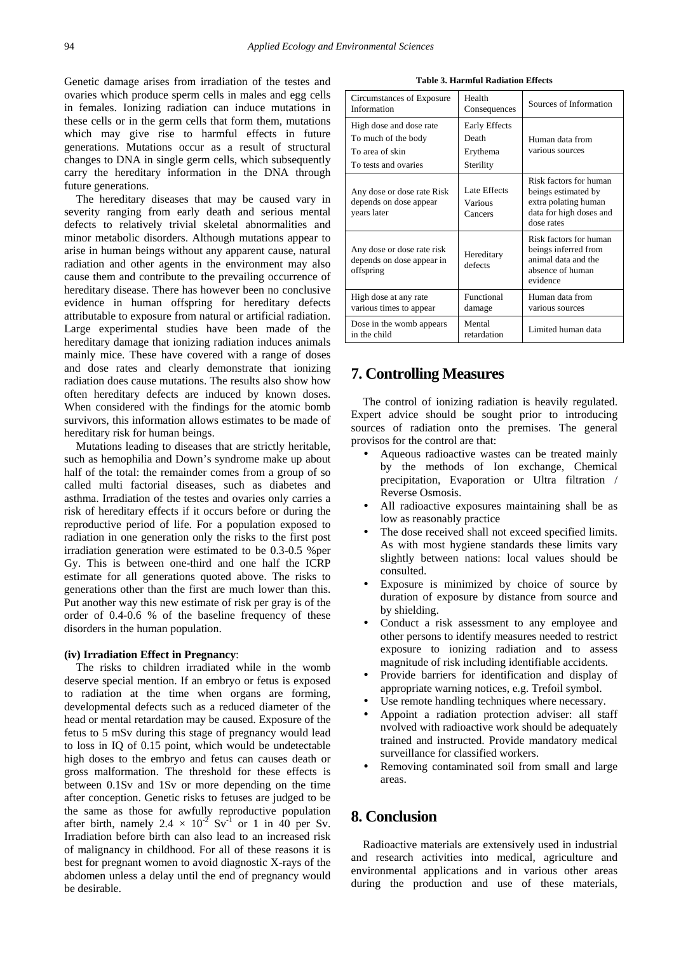Genetic damage arises from irradiation of the testes and ovaries which produce sperm cells in males and egg cells in females. Ionizing radiation can induce mutations in these cells or in the germ cells that form them, mutations which may give rise to harmful effects in future generations. Mutations occur as a result of structural changes to DNA in single germ cells, which subsequently carry the hereditary information in the DNA through future generations.

The hereditary diseases that may be caused vary in severity ranging from early death and serious mental defects to relatively trivial skeletal abnormalities and minor metabolic disorders. Although mutations appear to arise in human beings without any apparent cause, natural radiation and other agents in the environment may also cause them and contribute to the prevailing occurrence of hereditary disease. There has however been no conclusive evidence in human offspring for hereditary defects attributable to exposure from natural or artificial radiation. Large experimental studies have been made of the hereditary damage that ionizing radiation induces animals mainly mice. These have covered with a range of doses and dose rates and clearly demonstrate that ionizing radiation does cause mutations. The results also show how often hereditary defects are induced by known doses. When considered with the findings for the atomic bomb survivors, this information allows estimates to be made of hereditary risk for human beings.

Mutations leading to diseases that are strictly heritable, such as hemophilia and Down's syndrome make up about half of the total: the remainder comes from a group of so called multi factorial diseases, such as diabetes and asthma. Irradiation of the testes and ovaries only carries a risk of hereditary effects if it occurs before or during the reproductive period of life. For a population exposed to radiation in one generation only the risks to the first post irradiation generation were estimated to be 0.3-0.5 %per Gy. This is between one-third and one half the ICRP estimate for all generations quoted above. The risks to generations other than the first are much lower than this. Put another way this new estimate of risk per gray is of the order of 0.4-0.6 % of the baseline frequency of these disorders in the human population.

#### **(iv) Irradiation Effect in Pregnancy**:

The risks to children irradiated while in the womb deserve special mention. If an embryo or fetus is exposed to radiation at the time when organs are forming, developmental defects such as a reduced diameter of the head or mental retardation may be caused. Exposure of the fetus to 5 mSv during this stage of pregnancy would lead to loss in IQ of 0.15 point, which would be undetectable high doses to the embryo and fetus can causes death or gross malformation. The threshold for these effects is between 0.1Sv and 1Sv or more depending on the time after conception. Genetic risks to fetuses are judged to be the same as those for awfully reproductive population after birth, namely  $2.4 \times 10^{-2}$  Sv<sup>-1</sup> or 1 in 40 per Sv. Irradiation before birth can also lead to an increased risk of malignancy in childhood. For all of these reasons it is best for pregnant women to avoid diagnostic X-rays of the abdomen unless a delay until the end of pregnancy would be desirable.

**Table 3. Harmful Radiation Effects**

| Circumstances of Exposure<br>Information                                                  | Health<br>Consequences                                 | Sources of Information                                                                                         |
|-------------------------------------------------------------------------------------------|--------------------------------------------------------|----------------------------------------------------------------------------------------------------------------|
| High dose and dose rate<br>To much of the body<br>To area of skin<br>To tests and ovaries | <b>Early Effects</b><br>Death<br>Erythema<br>Sterility | Human data from<br>various sources                                                                             |
| Any dose or dose rate Risk<br>depends on dose appear<br>years later                       | Late Effects<br>Various<br>Cancers                     | Risk factors for human<br>beings estimated by<br>extra polating human<br>data for high doses and<br>dose rates |
| Any dose or dose rate risk<br>depends on dose appear in<br>offspring                      | Hereditary<br>defects                                  | Risk factors for human<br>beings inferred from<br>animal data and the<br>absence of human<br>evidence          |
| High dose at any rate<br>various times to appear                                          | Functional<br>damage                                   | Human data from<br>various sources                                                                             |
| Dose in the womb appears<br>in the child                                                  | Mental<br>retardation                                  | Limited human data                                                                                             |

### **7. Controlling Measures**

The control of ionizing radiation is heavily regulated. Expert advice should be sought prior to introducing sources of radiation onto the premises. The general provisos for the control are that:

- Aqueous radioactive wastes can be treated mainly by the methods of Ion exchange, Chemical precipitation, Evaporation or Ultra filtration / Reverse Osmosis.
- All radioactive exposures maintaining shall be as low as reasonably practice
- The dose received shall not exceed specified limits. As with most hygiene standards these limits vary slightly between nations: local values should be consulted.
- Exposure is minimized by choice of source by duration of exposure by distance from source and by shielding.
- Conduct a risk assessment to any employee and other persons to identify measures needed to restrict exposure to ionizing radiation and to assess magnitude of risk including identifiable accidents.
- Provide barriers for identification and display of appropriate warning notices, e.g. Trefoil symbol.
- Use remote handling techniques where necessary.
- Appoint a radiation protection adviser: all staff nvolved with radioactive work should be adequately trained and instructed. Provide mandatory medical surveillance for classified workers.
- Removing contaminated soil from small and large areas.

### **8. Conclusion**

Radioactive materials are extensively used in industrial and research activities into medical, agriculture and environmental applications and in various other areas during the production and use of these materials,